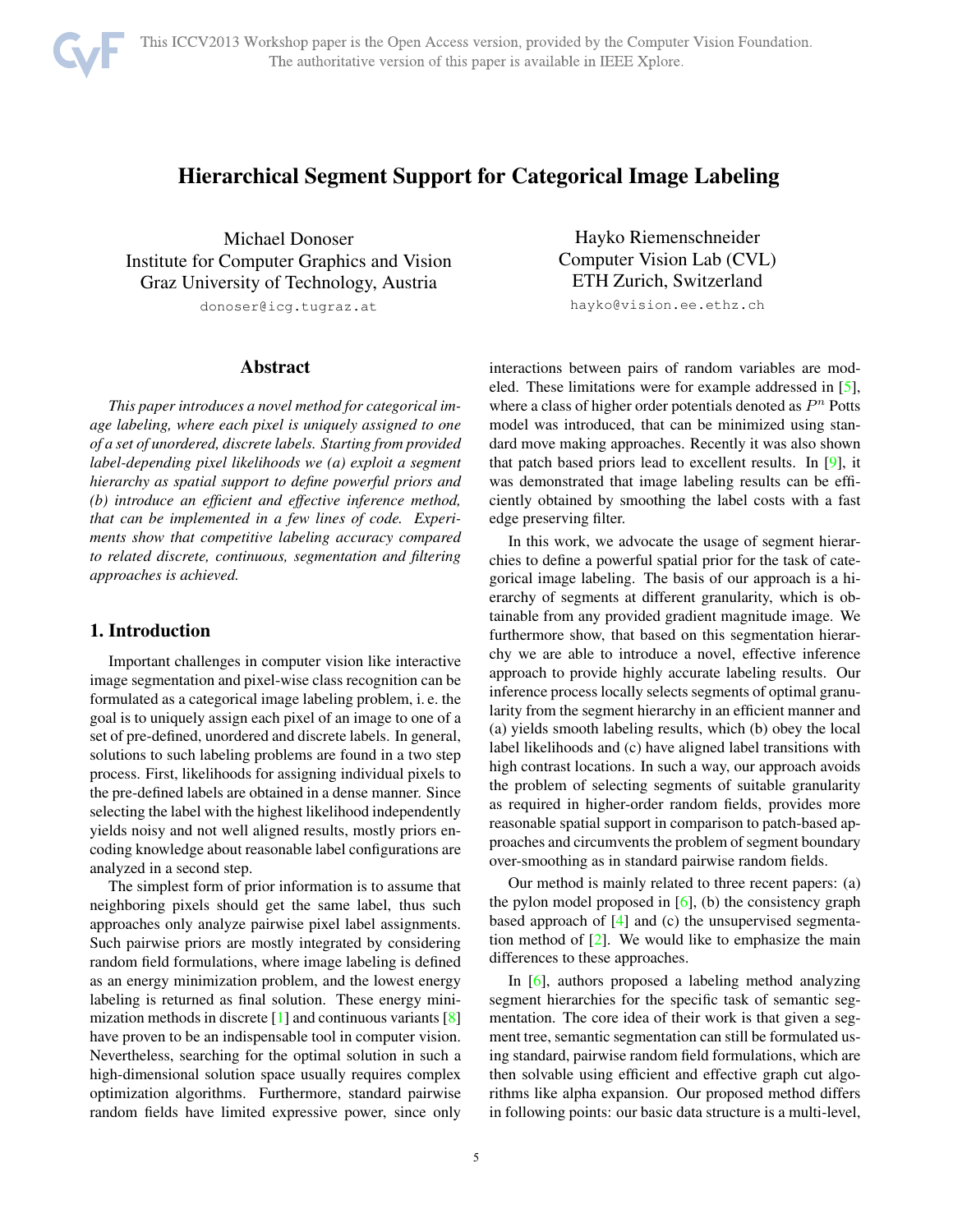# Hierarchical Segment Support for Categorical Image Labeling

Michael Donoser Institute for Computer Graphics and Vision Graz University of Technology, Austria donoser@icg.tugraz.at

Abstract

*This paper introduces a novel method for categorical image labeling, where each pixel is uniquely assigned to one of a set of unordered, discrete labels. Starting from provided label-depending pixel likelihoods we (a) exploit a segment hierarchy as spatial support to define powerful priors and (b) introduce an efficient and effective inference method, that can be implemented in a few lines of code. Experiments show that competitive labeling accuracy compared to related discrete, continuous, segmentation and filtering approaches is achieved.*

# 1. Introduction

Important challenges in computer vision like interactive image segmentation and pixel-wise class recognition can be formulated as a categorical image labeling problem, i. e. the goal is to uniquely assign each pixel of an image to one of a set of pre-defined, unordered and discrete labels. In general, solutions to such labeling problems are found in a two step process. First, likelihoods for assigning individual pixels to the pre-defined labels are obtained in a dense manner. Since selecting the label with the highest likelihood independently yields noisy and not well aligned results, mostly priors encoding knowledge about reasonable label configurations are analyzed in a second step.

The simplest form of prior information is to assume that neighboring pixels should get the same label, thus such approaches only analyze pairwise pixel label assignments. Such pairwise priors are mostly integrated by considering random field formulations, where image labeling is defined as an energy minimization problem, and the lowest energy labeling is returned as final solution. These energy minimization methods in discrete  $[1]$  and continuous variants  $[8]$ have proven to be an indispensable tool in computer vision. Nevertheless, searching for the optimal solution in such a high-dimensional solution space usually requires complex optimization algorithms. Furthermore, standard pairwise random fields have limited expressive power, since only

Hayko Riemenschneider Computer Vision Lab (CVL) ETH Zurich, Switzerland

hayko@vision.ee.ethz.ch

interactions between pairs of random variables are modeled. These limitations were for example addressed in [5], where a class of higher order potentials denoted as  $P<sup>n</sup>$  Potts model was introduced, that can be minimized using standard move making approaches. Recently it was also shown that patch based priors lead to excellent results. In [9], it was demonstrated that image labeling results can be efficiently obtained by smoothing the label costs with a fast edge preserving filter.

In this work, we advocate the usage of segment hierarchies to define a powerful spatial prior for the task of categorical image labeling. The basis of our approach is a hierarchy of segments at different granularity, which is obtainable from any provided gradient magnitude image. We furthermore show, that based on this segmentation hierarchy we are able to introduce a novel, effective inference approach to provide highly accurate labeling results. Our inference process locally selects segments of optimal granularity from the segment hierarchy in an efficient manner and (a) yields smooth labeling results, which (b) obey the local label likelihoods and (c) have aligned label transitions with high contrast locations. In such a way, our approach avoids the problem of selecting segments of suitable granularity as required in higher-order random fields, provides more reasonable spatial support in comparison to patch-based approaches and circumvents the problem of segment boundary over-smoothing as in standard pairwise random fields.

Our method is mainly related to three recent papers: (a) the pylon model proposed in  $[6]$ , (b) the consistency graph based approach of [4] and (c) the unsupervised segmentation method of [2]. We would like to emphasize the main differences to these approaches.

In [6], authors proposed a labeling method analyzing segment hierarchies for the specific task of semantic segmentation. The core idea of their work is that given a segment tree, semantic segmentation can still be formulated using standard, pairwise random field formulations, which are then solvable using efficient and effective graph cut algorithms like alpha expansion. Our proposed method differs in following points: our basic data structure is a multi-level,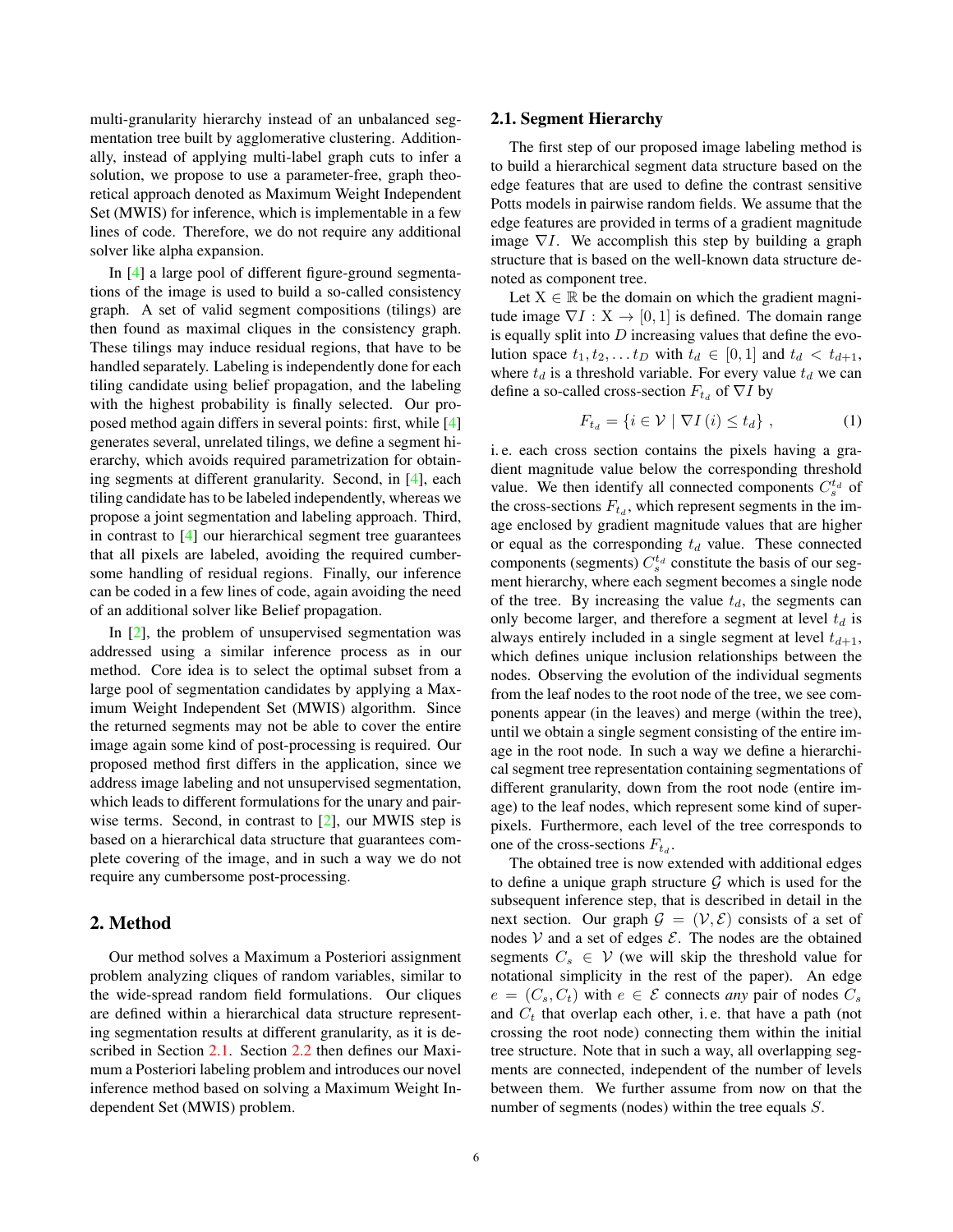multi-granularity hierarchy instead of an unbalanced segmentation tree built by agglomerative clustering. Additionally, instead of applying multi-label graph cuts to infer a solution, we propose to use a parameter-free, graph theoretical approach denoted as Maximum Weight Independent Set (MWIS) for inference, which is implementable in a few lines of code. Therefore, we do not require any additional solver like alpha expansion.

In [4] a large pool of different figure-ground segmentations of the image is used to build a so-called consistency graph. A set of valid segment compositions (tilings) are then found as maximal cliques in the consistency graph. These tilings may induce residual regions, that have to be handled separately. Labeling is independently done for each tiling candidate using belief propagation, and the labeling with the highest probability is finally selected. Our proposed method again differs in several points: first, while [4] generates several, unrelated tilings, we define a segment hierarchy, which avoids required parametrization for obtaining segments at different granularity. Second, in [4], each tiling candidate has to be labeled independently, whereas we propose a joint segmentation and labeling approach. Third, in contrast to [4] our hierarchical segment tree guarantees that all pixels are labeled, avoiding the required cumbersome handling of residual regions. Finally, our inference can be coded in a few lines of code, again avoiding the need of an additional solver like Belief propagation.

In  $[2]$ , the problem of unsupervised segmentation was addressed using a similar inference process as in our method. Core idea is to select the optimal subset from a large pool of segmentation candidates by applying a Maximum Weight Independent Set (MWIS) algorithm. Since the returned segments may not be able to cover the entire image again some kind of post-processing is required. Our proposed method first differs in the application, since we address image labeling and not unsupervised segmentation, which leads to different formulations for the unary and pairwise terms. Second, in contrast to [2], our MWIS step is based on a hierarchical data structure that guarantees complete covering of the image, and in such a way we do not require any cumbersome post-processing.

## 2. Method

Our method solves a Maximum a Posteriori assignment problem analyzing cliques of random variables, similar to the wide-spread random field formulations. Our cliques are defined within a hierarchical data structure representing segmentation results at different granularity, as it is described in Section 2.1. Section 2.2 then defines our Maximum a Posteriori labeling problem and introduces our novel inference method based on solving a Maximum Weight Independent Set (MWIS) problem.

### 2.1. Segment Hierarchy

The first step of our proposed image labeling method is to build a hierarchical segment data structure based on the edge features that are used to define the contrast sensitive Potts models in pairwise random fields. We assume that the edge features are provided in terms of a gradient magnitude image  $\nabla I$ . We accomplish this step by building a graph structure that is based on the well-known data structure denoted as component tree.

Let  $X \in \mathbb{R}$  be the domain on which the gradient magnitude image  $\nabla I : X \to [0, 1]$  is defined. The domain range is equally split into  $D$  increasing values that define the evolution space  $t_1, t_2, \ldots t_D$  with  $t_d \in [0, 1]$  and  $t_d < t_{d+1}$ , where  $t_d$  is a threshold variable. For every value  $t_d$  we can define a so-called cross-section  $F_{t_d}$  of  $\nabla I$  by

$$
F_{t_d} = \{ i \in \mathcal{V} \mid \nabla I \left( i \right) \le t_d \},\tag{1}
$$

i. e. each cross section contains the pixels having a gradient magnitude value below the corresponding threshold value. We then identify all connected components  $C_s^{t_d}$  of<br>the cross-sections  $F_s$ , which represent segments in the imthe cross-sections  $F_{t_d}$ , which represent segments in the image enclosed by gradient magnitude values that are higher or equal as the corresponding  $t_d$  value. These connected components (segments)  $C_s^{t_d}$  constitute the basis of our seg-<br>ment bierarchy, where each segment becomes a single node ment hierarchy, where each segment becomes a single node of the tree. By increasing the value  $t_d$ , the segments can only become larger, and therefore a segment at level  $t_d$  is always entirely included in a single segment at level  $t_{d+1}$ , which defines unique inclusion relationships between the nodes. Observing the evolution of the individual segments from the leaf nodes to the root node of the tree, we see components appear (in the leaves) and merge (within the tree), until we obtain a single segment consisting of the entire image in the root node. In such a way we define a hierarchical segment tree representation containing segmentations of different granularity, down from the root node (entire image) to the leaf nodes, which represent some kind of superpixels. Furthermore, each level of the tree corresponds to one of the cross-sections  $F_{t_d}$ .

The obtained tree is now extended with additional edges to define a unique graph structure  $G$  which is used for the subsequent inference step, that is described in detail in the next section. Our graph  $\mathcal{G} = (\mathcal{V}, \mathcal{E})$  consists of a set of nodes  $V$  and a set of edges  $E$ . The nodes are the obtained segments  $C_s \in V$  (we will skip the threshold value for notational simplicity in the rest of the paper). An edge  $e = (C_s, C_t)$  with  $e \in \mathcal{E}$  connects *any* pair of nodes  $C_s$ and  $C_t$  that overlap each other, i.e. that have a path (not crossing the root node) connecting them within the initial tree structure. Note that in such a way, all overlapping segments are connected, independent of the number of levels between them. We further assume from now on that the number of segments (nodes) within the tree equals S.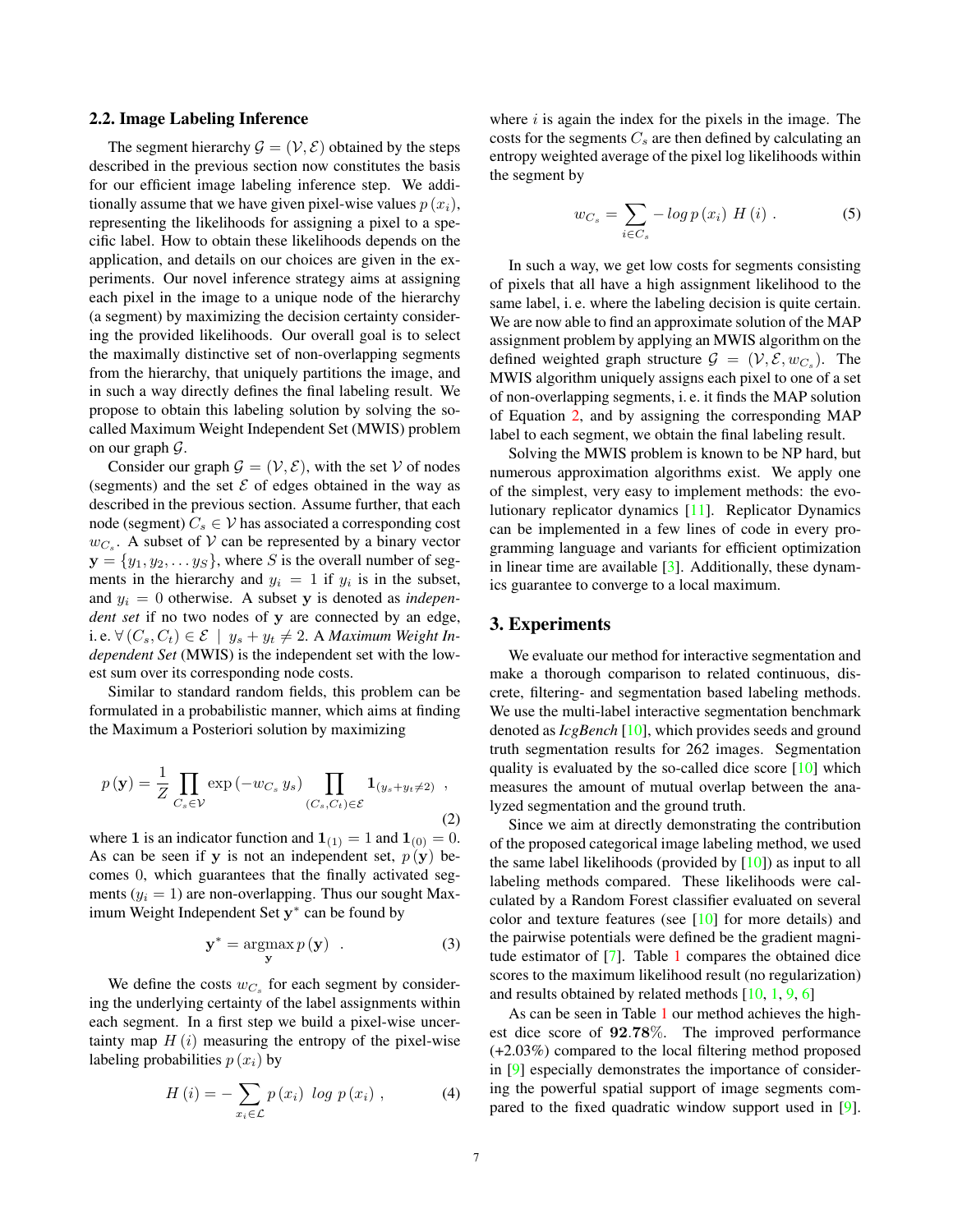#### 2.2. Image Labeling Inference

The segment hierarchy  $\mathcal{G} = (\mathcal{V}, \mathcal{E})$  obtained by the steps described in the previous section now constitutes the basis for our efficient image labeling inference step. We additionally assume that we have given pixel-wise values  $p(x_i)$ , representing the likelihoods for assigning a pixel to a specific label. How to obtain these likelihoods depends on the application, and details on our choices are given in the experiments. Our novel inference strategy aims at assigning each pixel in the image to a unique node of the hierarchy (a segment) by maximizing the decision certainty considering the provided likelihoods. Our overall goal is to select the maximally distinctive set of non-overlapping segments from the hierarchy, that uniquely partitions the image, and in such a way directly defines the final labeling result. We propose to obtain this labeling solution by solving the socalled Maximum Weight Independent Set (MWIS) problem on our graph  $\mathcal{G}$ .

Consider our graph  $\mathcal{G} = (\mathcal{V}, \mathcal{E})$ , with the set V of nodes (segments) and the set  $\mathcal E$  of edges obtained in the way as described in the previous section. Assume further, that each node (segment)  $C_s \in V$  has associated a corresponding cost  $w_{C_s}$ . A subset of V can be represented by a binary vector **, where** *S* **is the overall number of seg**ments in the hierarchy and  $y_i = 1$  if  $y_i$  is in the subset, and  $y_i = 0$  otherwise. A subset y is denoted as *independent set* if no two nodes of **y** are connected by an edge, i. e. ∀ ( $C_s, C_t$ ) ∈  $\mathcal{E}$  |  $y_s + y_t \neq 2$ . A *Maximum Weight Independent Set* (MWIS) is the independent set with the lowest sum over its corresponding node costs.

Similar to standard random fields, this problem can be formulated in a probabilistic manner, which aims at finding the Maximum a Posteriori solution by maximizing

$$
p(\mathbf{y}) = \frac{1}{Z} \prod_{C_s \in \mathcal{V}} \exp(-w_{C_s} y_s) \prod_{(C_s, C_t) \in \mathcal{E}} \mathbf{1}_{(y_s + y_t \neq 2)},
$$
\n(2)

where **1** is an indicator function and  $\mathbf{1}_{(1)} = 1$  and  $\mathbf{1}_{(0)} = 0$ . As can be seen if **y** is not an independent set,  $p(\mathbf{y})$  becomes 0, which guarantees that the finally activated segments  $(y_i = 1)$  are non-overlapping. Thus our sought Maximum Weight Independent Set **y**<sup>∗</sup> can be found by

$$
\mathbf{y}^* = \operatorname*{argmax}_{\mathbf{y}} p(\mathbf{y}) \quad . \tag{3}
$$

We define the costs  $w_{C_s}$  for each segment by considering the underlying certainty of the label assignments within each segment. In a first step we build a pixel-wise uncertainty map  $H(i)$  measuring the entropy of the pixel-wise labeling probabilities  $p(x_i)$  by

$$
H(i) = -\sum_{x_i \in \mathcal{L}} p(x_i) \log p(x_i) , \qquad (4)
$$

where  $i$  is again the index for the pixels in the image. The costs for the segments  $C_s$  are then defined by calculating an entropy weighted average of the pixel log likelihoods within the segment by

$$
w_{C_s} = \sum_{i \in C_s} -\log p(x_i) \ H(i) \ . \tag{5}
$$

In such a way, we get low costs for segments consisting of pixels that all have a high assignment likelihood to the same label, i. e. where the labeling decision is quite certain. We are now able to find an approximate solution of the MAP assignment problem by applying an MWIS algorithm on the defined weighted graph structure  $\mathcal{G} = (\mathcal{V}, \mathcal{E}, w_{C_s})$ . The MWIS algorithm uniquely assigns each pixel to one of a set of non-overlapping segments, i. e. it finds the MAP solution of Equation 2, and by assigning the corresponding MAP label to each segment, we obtain the final labeling result.

Solving the MWIS problem is known to be NP hard, but numerous approximation algorithms exist. We apply one of the simplest, very easy to implement methods: the evolutionary replicator dynamics [11]. Replicator Dynamics can be implemented in a few lines of code in every programming language and variants for efficient optimization in linear time are available [3]. Additionally, these dynamics guarantee to converge to a local maximum.

# 3. Experiments

We evaluate our method for interactive segmentation and make a thorough comparison to related continuous, discrete, filtering- and segmentation based labeling methods. We use the multi-label interactive segmentation benchmark denoted as *IcgBench* [10], which provides seeds and ground truth segmentation results for 262 images. Segmentation quality is evaluated by the so-called dice score [10] which measures the amount of mutual overlap between the analyzed segmentation and the ground truth.

Since we aim at directly demonstrating the contribution of the proposed categorical image labeling method, we used the same label likelihoods (provided by  $[10]$ ) as input to all labeling methods compared. These likelihoods were calculated by a Random Forest classifier evaluated on several color and texture features (see  $[10]$  for more details) and the pairwise potentials were defined be the gradient magnitude estimator of [7]. Table 1 compares the obtained dice scores to the maximum likelihood result (no regularization) and results obtained by related methods  $[10, 1, 9, 6]$ 

As can be seen in Table 1 our method achieves the highest dice score of **<sup>92</sup>**.**78**%. The improved performance (+2.03%) compared to the local filtering method proposed in [9] especially demonstrates the importance of considering the powerful spatial support of image segments compared to the fixed quadratic window support used in [9].